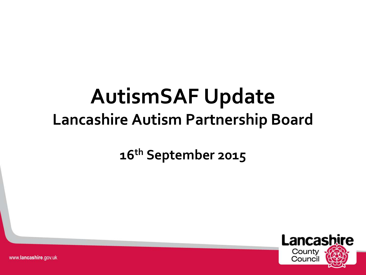#### **AutismSAF Update Lancashire Autism Partnership Board**

#### **16th September 2015**



www.lancashire.gov.uk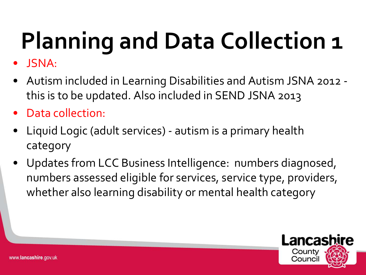- JSNA:
- Autism included in Learning Disabilities and Autism JSNA 2012 this is to be updated. Also included in SEND JSNA 2013
- Data collection:
- Liquid Logic (adult services) autism is a primary health category
- Updates from LCC Business Intelligence: numbers diagnosed, numbers assessed eligible for services, service type, providers, whether also learning disability or mental health category

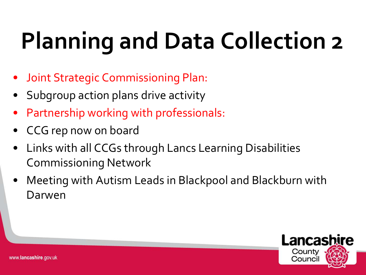- Joint Strategic Commissioning Plan:
- Subgroup action plans drive activity
- Partnership working with professionals:
- CCG rep now on board
- Links with all CCGs through Lancs Learning Disabilities Commissioning Network
- Meeting with Autism Leads in Blackpool and Blackburn with Darwen

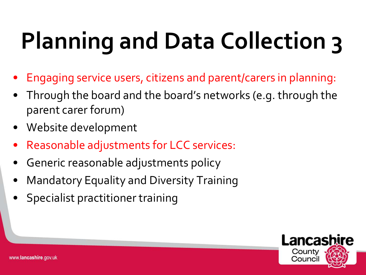- Engaging service users, citizens and parent/carers in planning:
- Through the board and the board's networks (e.g. through the parent carer forum)
- Website development
- Reasonable adjustments for LCC services:
- Generic reasonable adjustments policy
- Mandatory Equality and Diversity Training
- Specialist practitioner training

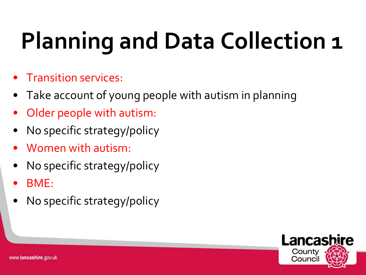- Transition services:
- Take account of young people with autism in planning
- Older people with autism:
- No specific strategy/policy
- Women with autism:
- No specific strategy/policy
- BME:
- No specific strategy/policy



www.lancashire.gov.uk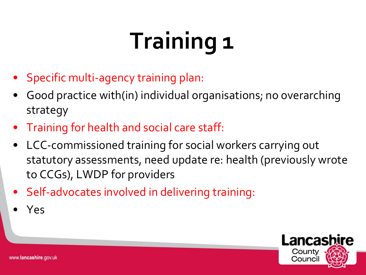#### **Training 1**

- Specific multi-agency training plan:
- Good practice with(in) individual organisations; no overarching strategy
- Training for health and social care staff:
- LCC-commissioned training for social workers carrying out statutory assessments, need update re: health (previously wrote to CCGs), LWDP for providers
- Self-advocates involved in delivering training:
- Yes

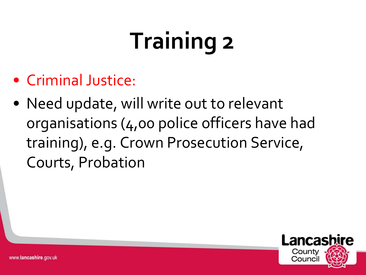#### **Training 2**

- Criminal Justice:
- Need update, will write out to relevant organisations (4,00 police officers have had training), e.g. Crown Prosecution Service, Courts, Probation

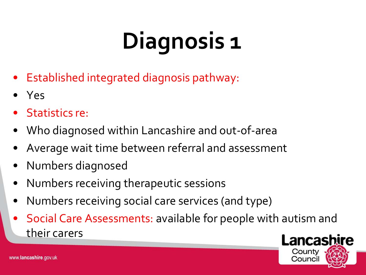### **Diagnosis 1**

- Established integrated diagnosis pathway:
- Yes
- Statistics re:
- Who diagnosed within Lancashire and out-of-area
- Average wait time between referral and assessment
- Numbers diagnosed
- Numbers receiving therapeutic sessions
- Numbers receiving social care services (and type)
- Social Care Assessments: available for people with autism and their carers

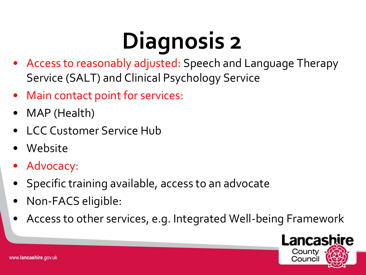#### **Diagnosis 2**

- Access to reasonably adjusted: Speech and Language Therapy Service (SALT) and Clinical Psychology Service
- Main contact point for services:
- MAP (Health)
- LCC Customer Service Hub
- Website
- Advocacy:
- Specific training available, access to an advocate
- Non-FACS eligible:
- Access to other services, e.g. Integrated Well-being Framework

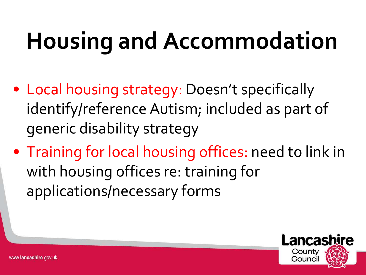### **Housing and Accommodation**

- Local housing strategy: Doesn't specifically identify/reference Autism; included as part of generic disability strategy
- Training for local housing offices: need to link in with housing offices re: training for applications/necessary forms

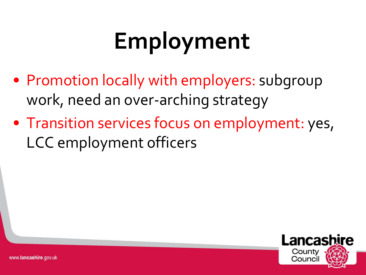#### **Employment**

- Promotion locally with employers: subgroup work, need an over-arching strategy
- Transition services focus on employment: yes, LCC employment officers